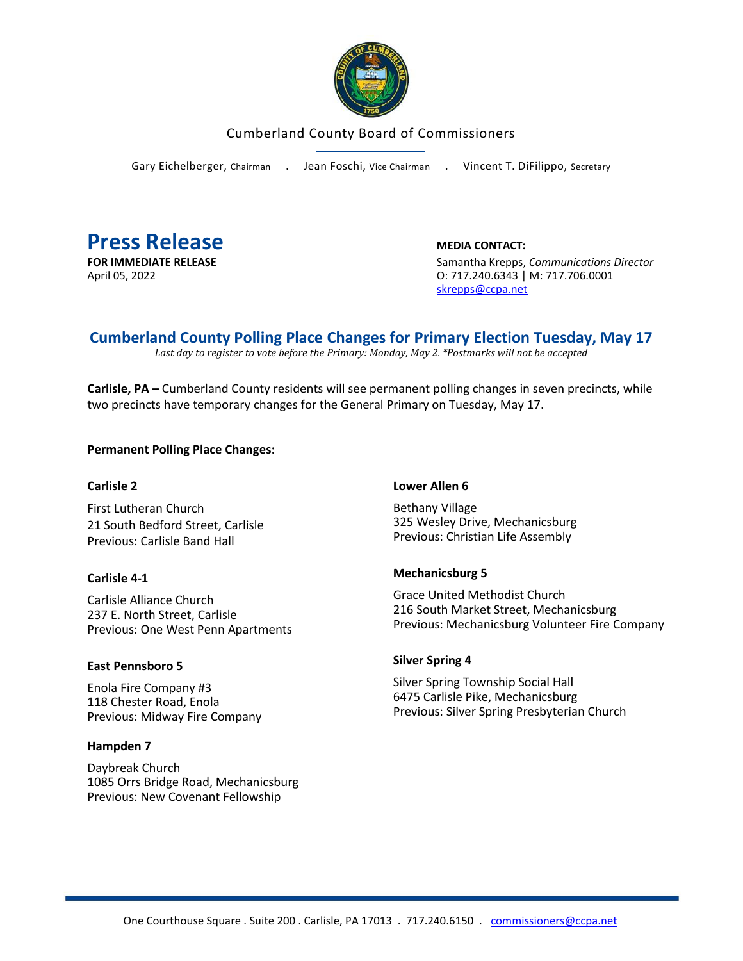

## Cumberland County Board of Commissioners

Gary Eichelberger, Chairman . Jean Foschi, Vice Chairman . Vincent T. DiFilippo, Secretary



**FOR IMMEDIATE RELEASE** Samantha Krepps, *Communications Director* April 05, 2022 **CONTACT 120 2008 120 2009 12004 12004 12004 12004 12004 12004 12004 12004 12004 12004 12004 120** [skrepps@ccpa.net](mailto:skrepps@ccpa.net)

# **Cumberland County Polling Place Changes for Primary Election Tuesday, May 17**

*Last day to register to vote before the Primary: Monday, May 2. \*Postmarks will not be accepted*

**Carlisle, PA –** Cumberland County residents will see permanent polling changes in seven precincts, while two precincts have temporary changes for the General Primary on Tuesday, May 17.

**Permanent Polling Place Changes:** 

#### **Carlisle 2**

First Lutheran Church 21 South Bedford Street, Carlisle Previous: Carlisle Band Hall

#### **Carlisle 4-1**

Carlisle Alliance Church 237 E. North Street, Carlisle Previous: One West Penn Apartments

#### **East Pennsboro 5**

Enola Fire Company #3 118 Chester Road, Enola Previous: Midway Fire Company

#### **Hampden 7**

Daybreak Church 1085 Orrs Bridge Road, Mechanicsburg Previous: New Covenant Fellowship

#### **Lower Allen 6**

Bethany Village 325 Wesley Drive, Mechanicsburg Previous: Christian Life Assembly

#### **Mechanicsburg 5**

Grace United Methodist Church 216 South Market Street, Mechanicsburg Previous: Mechanicsburg Volunteer Fire Company

#### **Silver Spring 4**

Silver Spring Township Social Hall 6475 Carlisle Pike, Mechanicsburg Previous: Silver Spring Presbyterian Church